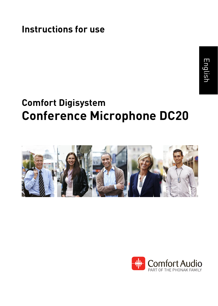**Instructions for use**

# English

### **Comfort Digisystem Conference Microphone DC20**



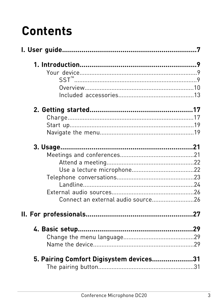## **Contents**

| Connect an external audio source26      |  |
|-----------------------------------------|--|
|                                         |  |
|                                         |  |
|                                         |  |
|                                         |  |
| 5. Pairing Comfort Digisystem devices31 |  |
|                                         |  |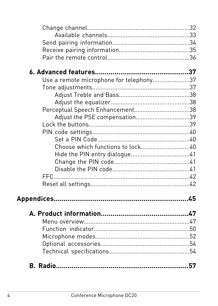| Use a remote microphone for telephony37 |  |
|-----------------------------------------|--|
|                                         |  |
|                                         |  |
|                                         |  |
|                                         |  |
| Adjust the PSE compensation39           |  |
|                                         |  |
|                                         |  |
|                                         |  |
|                                         |  |
|                                         |  |
|                                         |  |
|                                         |  |
|                                         |  |
|                                         |  |
|                                         |  |
|                                         |  |
|                                         |  |
|                                         |  |
|                                         |  |
|                                         |  |
|                                         |  |
|                                         |  |
|                                         |  |
|                                         |  |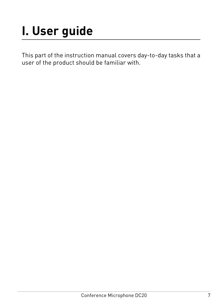## <span id="page-6-0"></span>**I. User guide**

This part of the instruction manual covers day-to-day tasks that a user of the product should be familiar with.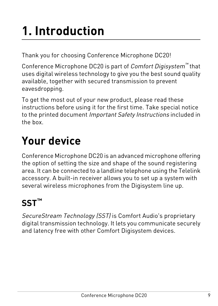## <span id="page-8-0"></span>**1. Introduction**

Thank you for choosing Conference Microphone DC20!

Conference Microphone DC20 is part of *Comfort Digisystem™* that uses digital wireless technology to give you the best sound quality available, together with secured transmission to prevent eavesdropping.

To get the most out of your new product, please read these instructions before using it for the first time. Take special notice to the printed document Important Safety Instructions included in the box.

## <span id="page-8-1"></span>**Your device**

Conference Microphone DC20 is an advanced microphone offering the option of setting the size and shape of the sound registering area. It can be connected to a landline telephone using the Telelink accessory. A built-in receiver allows you to set up a system with several wireless microphones from the Digisystem line up.

### <span id="page-8-2"></span>**SST™**

SecureStream Technology (SST) is Comfort Audio's proprietary digital transmission technology. It lets you communicate securely and latency free with other Comfort Digisystem devices.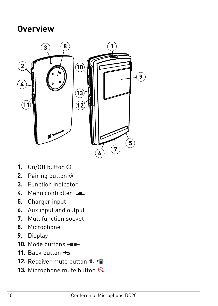#### <span id="page-9-0"></span>**Overview**



- 1. On/Off button  $\Phi$
- **2.** Pairing button
- **3.** Function indicator
- **4.** Menu controller
- **5.** Charger input
- **6.** Aux input and output
- **7.** Multifunction socket
- **8.** Microphone
- **9.** Display
- 10. Mode buttons <
- **11.** Back button
- 12. Receiver mute button  $\rightarrow$
- 13. Microphone mute button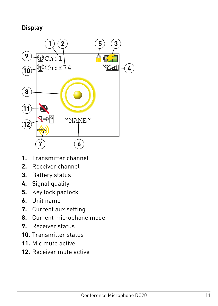#### **Display**



- **1.** Transmitter channel
- **2.** Receiver channel
- **3.** Battery status
- **4.** Signal quality
- **5.** Key lock padlock
- **6.** Unit name
- **7.** Current aux setting
- **8.** Current microphone mode
- **9.** Receiver status
- **10.** Transmitter status
- **11.** Mic mute active
- **12.** Receiver mute active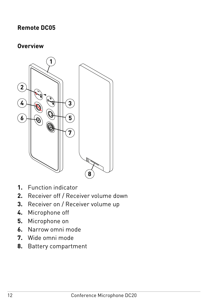#### **Remote DC05**

#### **Overview**



- **1.** Function indicator
- **2.** Receiver off / Receiver volume down
- **3.** Receiver on / Receiver volume up
- **4.** Microphone off
- **5.** Microphone on
- **6.** Narrow omni mode
- **7.** Wide omni mode
- **8.** Battery compartment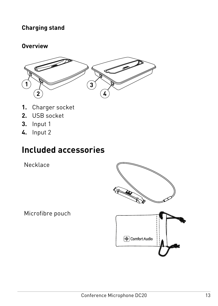#### **Charging stand**

#### **Overview**



- **1.** Charger socket
- **2.** USB socket
- **3.** Input 1
- <span id="page-12-0"></span>**4.** Input 2

### **Included accessories**

Necklace

Microfibre pouch

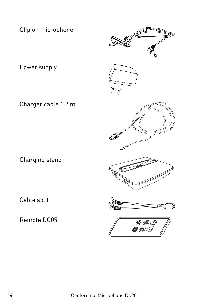Clip on microphone



Power supply







Remote DC05









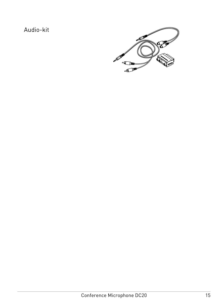#### Audio-kit

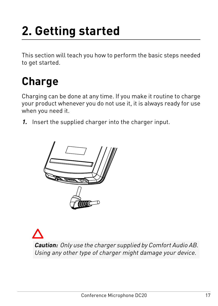## <span id="page-16-0"></span>**2. Getting started**

This section will teach you how to perform the basic steps needed to get started.

### <span id="page-16-1"></span>**Charge**

Charging can be done at any time. If you make it routine to charge your product whenever you do not use it, it is always ready for use when you need it.

**1.** Insert the supplied charger into the charger input.



**Caution:** Only use the charger supplied by Comfort Audio AB. Using any other type of charger might damage your device.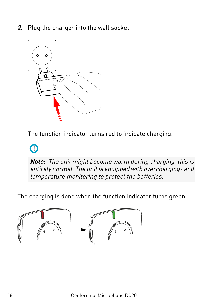**2.** Plug the charger into the wall socket.



The function indicator turns red to indicate charging.

### $\Omega$

**Note:** The unit might become warm during charging, this is entirely normal. The unit is equipped with overcharging- and temperature monitoring to protect the batteries.

The charging is done when the function indicator turns green.

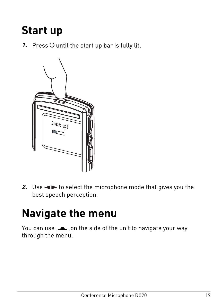### <span id="page-18-0"></span>**Start up**

**1.** Press  $\Phi$  until the start up bar is fully lit.



<span id="page-18-1"></span>**2.** Use  $\blacktriangleleft$  to select the microphone mode that gives you the best speech perception.

### **Navigate the menu**

You can use on the side of the unit to navigate your way through the menu.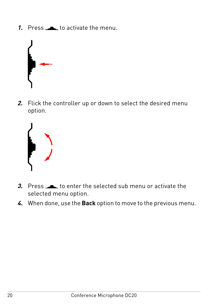**1.** Press **to activate the menu.** 



**2.** Flick the controller up or down to select the desired menu option.



- **3.** Press to enter the selected sub menu or activate the selected menu option.
- **4.** When done, use the **Back** option to move to the previous menu.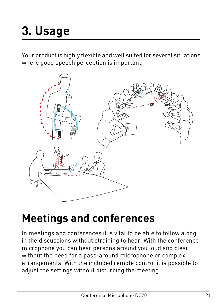<span id="page-20-0"></span>Your product is highly flexible and well suited for several situations where good speech perception is important.



### <span id="page-20-1"></span>**Meetings and conferences**

In meetings and conferences it is vital to be able to follow along in the discussions without straining to hear. With the conference microphone you can hear persons around you loud and clear without the need for a pass-around microphone or complex arrangements. With the included remote control it is possible to adjust the settings without disturbing the meeting.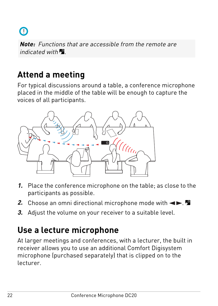

**Note:** Functions that are accessible from the remote are indicated with  $\blacksquare$ 

### <span id="page-21-0"></span>**Attend a meeting**

For typical discussions around a table, a conference microphone placed in the middle of the table will be enough to capture the voices of all participants.



- **1.** Place the conference microphone on the table; as close to the participants as possible.
- <span id="page-21-1"></span>**2.** Choose an omni directional microphone mode with  $\blacktriangleleft \blacktriangleright$ .
- **3.** Adjust the volume on your receiver to a suitable level.

### **Use a lecture microphone**

At larger meetings and conferences, with a lecturer, the built in receiver allows you to use an additional Comfort Digisystem microphone (purchased separately) that is clipped on to the lecturer.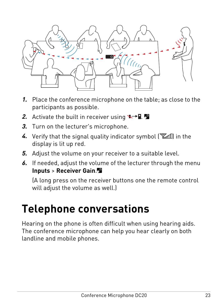

- **1.** Place the conference microphone on the table; as close to the participants as possible.
- **2.** Activate the built in receiver using  $\blacktriangleright$   $\blacktriangleright$   $\blacktriangleright$
- **3.** Turn on the lecturer's microphone.
- **4.** Verify that the signal quality indicator symbol ( $\mathbb{Z}$  in the display is lit up red.
- **5.** Adjust the volume on your receiver to a suitable level.
- **6.** If needed, adjust the volume of the lecturer through the menu **Inputs** > **Receiver Gain**.

<span id="page-22-0"></span>(A long press on the receiver buttons one the remote control will adjust the volume as well.)

### **Telephone conversations**

Hearing on the phone is often difficult when using hearing aids. The conference microphone can help you hear clearly on both landline and mobile phones.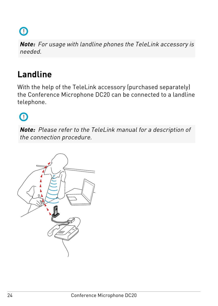$\Omega$ 

**Note:** For usage with landline phones the TeleLink accessory is needed.

### <span id="page-23-0"></span>**Landline**

With the help of the TeleLink accessory (purchased separately) the Conference Microphone DC20 can be connected to a landline telephone.

 $\bigcap$ 

**Note:** Please refer to the TeleLink manual for a description of the connection procedure.

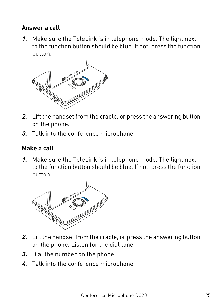#### **Answer a call**

**1.** Make sure the TeleLink is in telephone mode. The light next to the function button should be blue. If not, press the function button.



- **2.** Lift the handset from the cradle, or press the answering button on the phone.
- **3.** Talk into the conference microphone.

#### **Make a call**

**1.** Make sure the TeleLink is in telephone mode. The light next to the function button should be blue. If not, press the function button.



- **2.** Lift the handset from the cradle, or press the answering button on the phone. Listen for the dial tone.
- **3.** Dial the number on the phone.
- **4.** Talk into the conference microphone.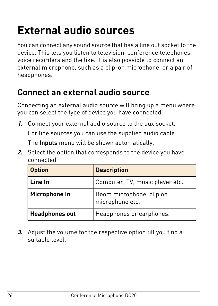### <span id="page-25-0"></span>**External audio sources**

You can connect any sound source that has a line out socket to the device. This lets you listen to television, conference telephones, voice recorders and the like. It is also possible to connect an external microphone, such as a clip-on microphone, or a pair of headphones.

#### <span id="page-25-1"></span>**Connect an external audio source**

Connecting an external audio source will bring up a menu where you can select the type of device you have connected.

**1.** Connect your external audio source to the aux socket.

For line sources you can use the supplied audio cable.

The **Inputs** menu will be shown automatically.

**2.** Select the option that corresponds to the device you have connected.

| <b>Option</b>         | <b>Description</b>                          |  |
|-----------------------|---------------------------------------------|--|
| Line In               | Computer, TV, music player etc.             |  |
| Microphone In         | Boom microphone, clip on<br>microphone etc. |  |
| <b>Headphones out</b> | Headphones or earphones.                    |  |

**3.** Adjust the volume for the respective option till you find a suitable level.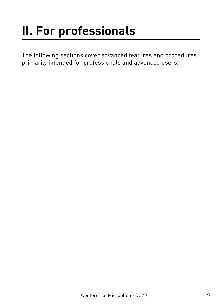## <span id="page-26-0"></span>**II. For professionals**

The following sections cover advanced features and procedures primarily intended for professionals and advanced users.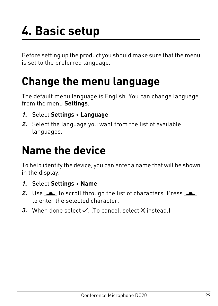## <span id="page-28-0"></span>**4. Basic setup**

Before setting up the product you should make sure that the menu is set to the preferred language.

### <span id="page-28-1"></span>**Change the menu language**

The default menu language is English. You can change language from the menu **Settings**.

- **1.** Select **Settings** > **Language**.
- <span id="page-28-2"></span>**2.** Select the language you want from the list of available languages.

### **Name the device**

To help identify the device, you can enter a name that will be shown in the display.

- **1.** Select **Settings** > **Name**.
- **2.** Use to scroll through the list of characters. Press to enter the selected character.
- **3.** When done select  $\checkmark$ . (To cancel, select  $\checkmark$  instead.)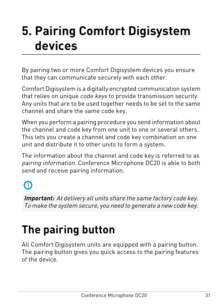## <span id="page-30-0"></span>**Pairing Comfort Digisystem 5. devices**

By pairing two or more Comfort Digisystem devices you ensure that they can communicate securely with each other.

Comfort Digisystem is a digitally encrypted communication system that relies on unique *code keys* to provide transmission security. Any units that are to be used together needs to be set to the same channel and share the same code key.

When you perform a pairing procedure you send information about the channel and code key from one unit to one or several others. This lets you create a channel and code key combination on one unit and distribute it to other units to form a system.

The information about the channel and code key is referred to as pairing information. Conference Microphone DC20 is able to both send and receive pairing information.

 $\Omega$ 

<span id="page-30-1"></span>**Important:** At delivery all units share the same factory code key. To make the system secure, you need to generate a new code key.

## **The pairing button**

All Comfort Digisystem units are equipped with a pairing button. The pairing button gives you quick access to the pairing features of the device.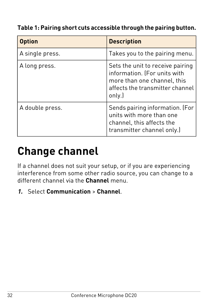#### **Table 1: Pairing short cuts accessible through the pairing button.**

| <b>Option</b>   | <b>Description</b>                                                                                                                           |
|-----------------|----------------------------------------------------------------------------------------------------------------------------------------------|
| A single press. | Takes you to the pairing menu.                                                                                                               |
| A long press.   | Sets the unit to receive pairing<br>information. (For units with<br>more than one channel, this<br>affects the transmitter channel<br>only.) |
| A double press. | Sends pairing information. (For<br>units with more than one<br>channel, this affects the<br>transmitter channel only.)                       |

## <span id="page-31-0"></span>**Change channel**

If a channel does not suit your setup, or if you are experiencing interference from some other radio source, you can change to a different channel via the **Channel** menu.

**1.** Select **Communication** > **Channel**.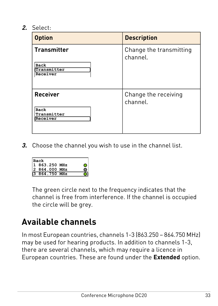**2.** Select:

| <b>Option</b>                                         | <b>Description</b>                  |
|-------------------------------------------------------|-------------------------------------|
| <b>Transmitter</b><br>Back<br>Transmitter<br>Receiver | Change the transmitting<br>channel. |
| <b>Receiver</b><br>Back<br>Transmitter<br>Receiver    | Change the receiving<br>channel.    |

**3.** Choose the channel you wish to use in the channel list.

| Back        |  |
|-------------|--|
| 863.250 MHz |  |
| 864.000 MHz |  |
| 864.750 MHz |  |

<span id="page-32-0"></span>The green circle next to the frequency indicates that the channel is free from interference. If the channel is occupied the circle will be grey.

### **Available channels**

In most European countries, channels 1-3 (863.250 – 864.750 MHz) may be used for hearing products. In addition to channels 1-3, there are several channels, which may require a licence in European countries. These are found under the **Extended** option.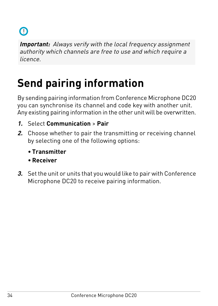

**Important:** Always verify with the local frequency assignment authority which channels are free to use and which require a licence.

## <span id="page-33-0"></span>**Send pairing information**

By sending pairing information from Conference Microphone DC20 you can synchronise its channel and code key with another unit. Any existing pairing information in the other unit will be overwritten.

- **1.** Select **Communication** > **Pair**
- **2.** Choose whether to pair the transmitting or receiving channel by selecting one of the following options:
	- **Transmitter**
	- **Receiver**
- **3.** Set the unit or units that you would like to pair with Conference Microphone DC20 to receive pairing information.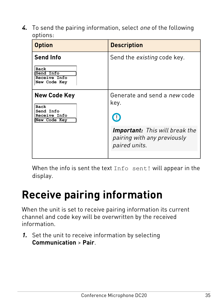**4.** To send the pairing information, select one of the following options:

| <b>Option</b>                                                            | <b>Description</b>                                                                                                                 |
|--------------------------------------------------------------------------|------------------------------------------------------------------------------------------------------------------------------------|
| <b>Send Info</b><br>Back<br>Send Info<br>Receive Info<br>New Code Key    | Send the <i>existing</i> code key.                                                                                                 |
| New Code Key<br>Back<br>Send Info<br><b>Receive Info</b><br>New Code Key | Generate and send a new code<br>key.<br>O<br><b>Important:</b> This will break the<br>pairing with any previously<br>paired units. |

<span id="page-34-0"></span>When the info is sent the text Info sent! will appear in the display.

### **Receive pairing information**

When the unit is set to receive pairing information its current channel and code key will be overwritten by the received information.

**1.** Set the unit to receive information by selecting **Communication** > **Pair**.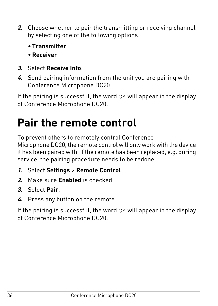- **2.** Choose whether to pair the transmitting or receiving channel by selecting one of the following options:
	- **Transmitter**
	- **Receiver**
- **3.** Select **Receive Info**.
- **4.** Send pairing information from the unit you are pairing with Conference Microphone DC20.

If the pairing is successful, the word OK will appear in the display of Conference Microphone DC20.

## <span id="page-35-0"></span>**Pair the remote control**

To prevent others to remotely control Conference

Microphone DC20, the remote control will only work with the device it has been paired with. If the remote has been replaced, e.g. during service, the pairing procedure needs to be redone.

- **1.** Select **Settings** > **Remote Control**.
- **2.** Make sure **Enabled** is checked.
- **3.** Select **Pair**.
- **4.** Press any button on the remote.

If the pairing is successful, the word OK will appear in the display of Conference Microphone DC20.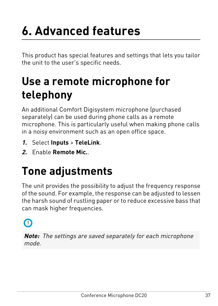## <span id="page-36-0"></span>**6. Advanced features**

This product has special features and settings that lets you tailor the unit to the user's specific needs.

## <span id="page-36-1"></span>**Use a remote microphone for telephony**

An additional Comfort Digisystem microphone (purchased separately) can be used during phone calls as a remote microphone. This is particularly useful when making phone calls in a noisy environment such as an open office space.

- **1.** Select **Inputs** > **TeleLink**.
- <span id="page-36-2"></span>**2.** Enable **Remote Mic.**.

## **Tone adjustments**

The unit provides the possibility to adjust the frequency response of the sound. For example, the response can be adjusted to lessen the harsh sound of rustling paper or to reduce excessive bass that can mask higher frequencies.



**Note:** The settings are saved separately for each microphone mode.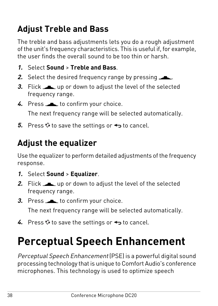### <span id="page-37-0"></span>**Adjust Treble and Bass**

The treble and bass adjustments lets you do a rough adjustment of the unit's frequency characteristics. This is useful if, for example, the user finds the overall sound to be too thin or harsh.

- **1.** Select **Sound** > **Treble and Bass**.
- **2.** Select the desired frequency range by pressing .
- **3.** Flick up or down to adjust the level of the selected frequency range.
- 4. Press **to confirm your choice.**

The next frequency range will be selected automatically.

<span id="page-37-1"></span>**5.** Press  $\div$  to save the settings or  $\leftrightarrow$  to cancel.

### **Adjust the equalizer**

Use the equalizer to perform detailed adjustments of the frequency response.

- **1.** Select **Sound** > **Equalizer**.
- **2.** Flick up or down to adjust the level of the selected frequency range.
- **3.** Press **to confirm your choice.**

The next frequency range will be selected automatically.

<span id="page-37-2"></span>**4.** Press  $\hat{\mathbf{v}}$  to save the settings or  $\leftrightarrow$  to cancel.

## **Perceptual Speech Enhancement**

Perceptual Speech Enhancement (PSE) is a powerful digital sound processing technology that is unique to Comfort Audio's conference microphones. This technology is used to optimize speech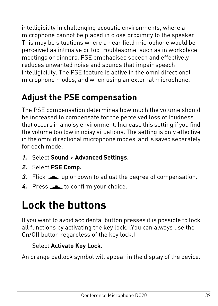intelligibility in challenging acoustic environments, where a microphone cannot be placed in close proximity to the speaker. This may be situations where a near field microphone would be perceived as intrusive or too troublesome, such as in workplace meetings or dinners. PSE emphasises speech and effectively reduces unwanted noise and sounds that impair speech intelligibility. The PSE feature is active in the omni directional microphone modes, and when using an external microphone.

### <span id="page-38-0"></span>**Adjust the PSE compensation**

The PSE compensation determines how much the volume should be increased to compensate for the perceived loss of loudness that occurs in a noisy environment. Increase this setting if you find the volume too low in noisy situations. The setting is only effective in the omni directional microphone modes, and is saved separately for each mode.

- **1.** Select **Sound** > **Advanced Settings**.
- **2.** Select **PSE Comp.**.
- **3.** Flick up or down to adjust the degree of compensation.
- <span id="page-38-1"></span>4. Press to confirm your choice.

## **Lock the buttons**

If you want to avoid accidental button presses it is possible to lock all functions by activating the key lock. (You can always use the On/Off button regardless of the key lock.)

#### Select **Activate Key Lock**.

An orange padlock symbol will appear in the display of the device.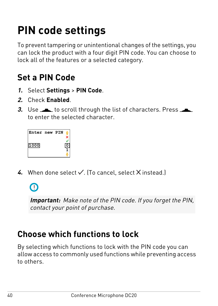## <span id="page-39-0"></span>**PIN code settings**

To prevent tampering or unintentional changes of the settings, you can lock the product with a four digit PIN code. You can choose to lock all of the features or a selected category.

### <span id="page-39-1"></span>**Set a PIN Code**

- **1.** Select **Settings** > **PIN Code**.
- **2.** Check **Enabled**.
- **3.** Use to scroll through the list of characters. Press to enter the selected character.

| Enter new PIN |  |  |
|---------------|--|--|
| .000          |  |  |
|               |  |  |

4. When done select  $\checkmark$ . (To cancel, select  $\checkmark$  instead.)

 $\bigcap$ 

<span id="page-39-2"></span>**Important:** Make note of the PIN code. If you forget the PIN, contact your point of purchase.

### **Choose which functions to lock**

By selecting which functions to lock with the PIN code you can allow access to commonly used functions while preventing access to others.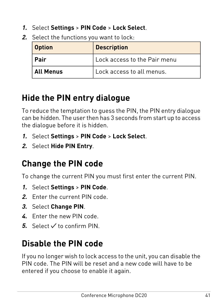- **1.** Select **Settings** > **PIN Code** > **Lock Select**.
- **2.** Select the functions you want to lock:

| <b>Description</b><br>Option             |                           |
|------------------------------------------|---------------------------|
| ∣ Pair<br>l Lock access to the Pair menu |                           |
| All Menus                                | Lock access to all menus. |

### <span id="page-40-0"></span>**Hide the PIN entry dialogue**

To reduce the temptation to guess the PIN, the PIN entry dialogue can be hidden. The user then has 3 seconds from start up to access the dialogue before it is hidden.

- **1.** Select **Settings** > **PIN Code** > **Lock Select**.
- <span id="page-40-1"></span>**2.** Select **Hide PIN Entry**.

### **Change the PIN code**

To change the current PIN you must first enter the current PIN.

- **1.** Select **Settings** > **PIN Code**.
- **2.** Enter the current PIN code.
- **3.** Select **Change PIN**.
- <span id="page-40-2"></span>**4.** Enter the new PIN code.
- **5.** Select  $\checkmark$  to confirm PIN.

### **Disable the PIN code**

If you no longer wish to lock access to the unit, you can disable the PIN code. The PIN will be reset and a new code will have to be entered if you choose to enable it again.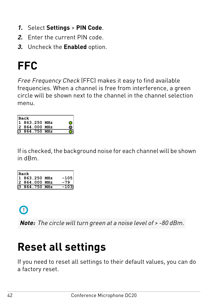- **1.** Select **Settings** > **PIN Code**.
- **2.** Enter the current PIN code.
- **3.** Uncheck the **Enabled** option.

## <span id="page-41-0"></span>**FFC**

Free Frequency Check (FFC) makes it easy to find available frequencies. When a channel is free from interference, a green circle will be shown next to the channel in the channel selection menu.

| <b>Back</b>   |  |
|---------------|--|
| 1 863.250 MHz |  |
| 2 864.000 MHz |  |
| 3 864.750 MHz |  |

If is checked, the background noise for each channel will be shown in dBm.

| <b>Back</b>   |        |
|---------------|--------|
| 1 863.250 MHz | $-105$ |
| 2 864.000 MHz | $-79$  |
| 3 864.750 MHz | $-103$ |



<span id="page-41-1"></span>**Note:** The circle will turn green at a noise level of > -80 dBm.

### **Reset all settings**

If you need to reset all settings to their default values, you can do a factory reset.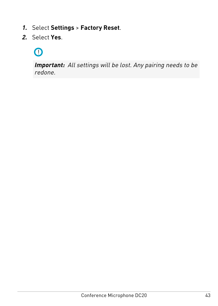- **1.** Select **Settings** > **Factory Reset**.
- **2.** Select **Yes**.

### $\Omega$

**Important:** All settings will be lost. Any pairing needs to be redone.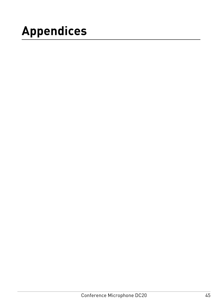## <span id="page-44-0"></span>**Appendices**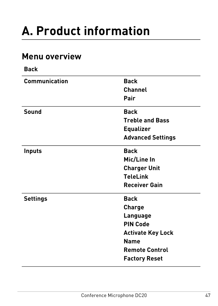## <span id="page-46-0"></span>**A. Product information**

#### <span id="page-46-1"></span>**Menu overview**

| <b>Back</b>     |                          |
|-----------------|--------------------------|
| Communication   | <b>Back</b>              |
|                 | Channel                  |
|                 | Pair                     |
| Sound           | <b>Back</b>              |
|                 | <b>Treble and Bass</b>   |
|                 | <b>Equalizer</b>         |
|                 | <b>Advanced Settings</b> |
| <b>Inputs</b>   | <b>Back</b>              |
|                 | Mic/Line In              |
|                 | <b>Charger Unit</b>      |
|                 | <b>TeleLink</b>          |
|                 | <b>Receiver Gain</b>     |
| <b>Settings</b> | <b>Back</b>              |
|                 | Charge                   |
|                 | Language                 |
|                 | <b>PIN Code</b>          |
|                 | <b>Activate Key Lock</b> |
|                 | Name                     |
|                 | <b>Remote Control</b>    |
|                 | <b>Factory Reset</b>     |
|                 |                          |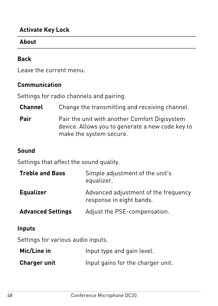#### **Activate Key Lock**

#### **About**

#### **Back**

Leave the current menu.

#### **Communication**

Settings for radio channels and pairing.

| <b>Channel</b> | Change the transmitting and receiving channel.                                                                               |
|----------------|------------------------------------------------------------------------------------------------------------------------------|
| Pair           | Pair the unit with another Comfort Digisystem<br>device. Allows you to generate a new code key to<br>make the system secure. |

#### **Sound**

Settings that affect the sound quality.

| <b>Treble and Bass</b>   | Simple adjustment of the unit's<br>equalizer.                    |
|--------------------------|------------------------------------------------------------------|
| <b>Equalizer</b>         | Advanced adjustment of the frequency<br>response in eight bands. |
| <b>Advanced Settings</b> | Adjust the PSE-compensation.                                     |

#### **Inputs**

Settings for various audio inputs.

| Mic/Line in         | Input type and gain level.        |
|---------------------|-----------------------------------|
| <b>Charger unit</b> | Input gains for the charger unit. |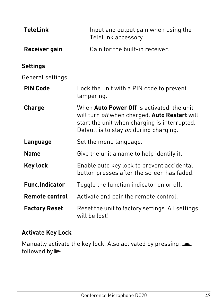| <b>TeleLink</b>       | Input and output gain when using the<br>TeleLink accessory.                                                                                                                           |
|-----------------------|---------------------------------------------------------------------------------------------------------------------------------------------------------------------------------------|
| Receiver gain         | Gain for the built-in receiver.                                                                                                                                                       |
| Settings              |                                                                                                                                                                                       |
| General settings.     |                                                                                                                                                                                       |
| <b>PIN Code</b>       | Lock the unit with a PIN code to prevent<br>tampering.                                                                                                                                |
| Charge                | When Auto Power Off is activated, the unit<br>will turn off when charged. Auto Restart will<br>start the unit when charging is interrupted.<br>Default is to stay on during charging. |
| Language              | Set the menu language.                                                                                                                                                                |
| <b>Name</b>           | Give the unit a name to help identify it.                                                                                                                                             |
| Key lock              | Enable auto key lock to prevent accidental<br>button presses after the screen has faded.                                                                                              |
| <b>Func.Indicator</b> | Toggle the function indicator on or off.                                                                                                                                              |
| <b>Remote control</b> | Activate and pair the remote control.                                                                                                                                                 |
| <b>Factory Reset</b>  | Reset the unit to factory settings. All settings<br>will be lost!                                                                                                                     |

#### **Activate Key Lock**

Manually activate the key lock. Also activated by pressing followed by  $\blacktriangleright$ .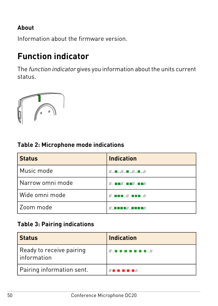#### **About**

Information about the firmware version.

### <span id="page-49-0"></span>**Function indicator**

The function indicator gives you information about the units current status.



#### **Table 2: Microphone mode indications**

| <b>Status</b>    | <b>Indication</b>                                                   |
|------------------|---------------------------------------------------------------------|
| Music mode       | $1/$ $\blacksquare$ $/$ $\blacksquare$ $/$ $\blacksquare$ //        |
| Narrow omni mode | // \$ \$ \$ // \$ \$ \$ // \$ \$ \$ //                              |
| Wide omni mode   | $\mathcal{U}$ . In the set $\mathcal{U}$ . In the set $\mathcal{U}$ |
| Zoom mode        | $\mathcal H$ , and a map $\mathcal H$ , and a map $\mathcal H$      |

#### **Table 3: Pairing indications**

| l Status                                  | Indication                              |
|-------------------------------------------|-----------------------------------------|
| Ready to receive pairing<br>l information | <b>//</b> . //                          |
| Pairing information sent.                 | $\mathcal{U}$ is a set of $\mathcal{U}$ |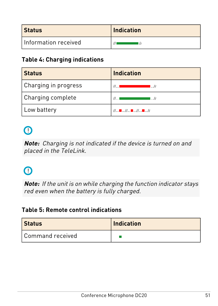| Status                 | Indication |
|------------------------|------------|
| l Information received |            |

#### **Table 4: Charging indications**

| <b>Status</b>        | <b>Indication</b>                                                       |
|----------------------|-------------------------------------------------------------------------|
| Charging in progress | $^{\prime\prime}$<br>I  //                                              |
| Charging complete    | II<br>1. //                                                             |
| Low battery          | $\mathcal{U}$ $\blacksquare$ $\mathcal{U}$ $\blacksquare$ $\mathcal{U}$ |

### $\Omega$

**Note:** Charging is not indicated if the device is turned on and placed in the TeleLink.

### $\Omega$

**Note:** If the unit is on while charging the function indicator stays red even when the battery is fully charged.

#### **Table 5: Remote control indications**

| <b>Status</b>      | <b>Indication</b> |
|--------------------|-------------------|
| l Command received |                   |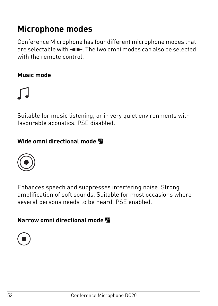### <span id="page-51-0"></span>**Microphone modes**

Conference Microphone has four different microphone modes that are selectable with  $\blacktriangleleft$   $\blacktriangleright$  The two omni modes can also be selected with the remote control.

#### **Music mode**



Suitable for music listening, or in very quiet environments with favourable acoustics. PSE disabled.

#### **Wide omni directional mode**



Enhances speech and suppresses interfering noise. Strong amplification of soft sounds. Suitable for most occasions where several persons needs to be heard. PSE enabled.

**Narrow omni directional mode** 

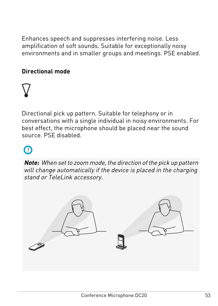Enhances speech and suppresses interfering noise. Less amplification of soft sounds. Suitable for exceptionally noisy environments and in smaller groups and meetings. PSE enabled.

#### **Directional mode**



Directional pick up pattern. Suitable for telephony or in conversations with a single individual in noisy environments. For best effect, the microphone should be placed near the sound source. PSE disabled.

### $\Omega$

**Note:** When set to zoom mode, the direction of the pick up pattern will change automatically if the device is placed in the charging stand or TeleLink accessory.

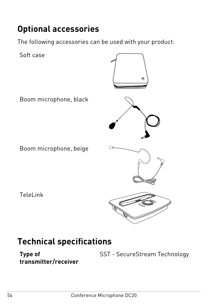### <span id="page-53-0"></span>**Optional accessories**

The following accessories can be used with your product:



### <span id="page-53-1"></span>**Technical specifications**

**transmitter/receiver**

**Type of** SST - SecureStream Technology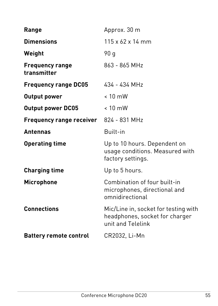| Range                                 | Approx. 30 m                                                                                |
|---------------------------------------|---------------------------------------------------------------------------------------------|
| <b>Dimensions</b>                     | $115 \times 62 \times 14$ mm                                                                |
| Weight                                | 90 a                                                                                        |
| <b>Frequency range</b><br>transmitter | 863 - 865 MHz                                                                               |
| <b>Frequency range DC05</b>           | $434 - 434$ MHz                                                                             |
| Output power                          | $< 10$ mW                                                                                   |
| <b>Output power DC05</b>              | $< 10$ mW                                                                                   |
| Frequency range receiver              | 824 - 831 MHz                                                                               |
| <b>Antennas</b>                       | Built-in                                                                                    |
| <b>Operating time</b>                 | Up to 10 hours. Dependent on<br>usage conditions. Measured with<br>factory settings.        |
| <b>Charging time</b>                  | Up to 5 hours.                                                                              |
| <b>Microphone</b>                     | Combination of four built-in<br>microphones, directional and<br>omnidirectional             |
| <b>Connections</b>                    | Mic/Line in, socket for testing with<br>headphones, socket for charger<br>unit and Telelink |
| <b>Battery remote control</b>         | CR2032, Li-Mn                                                                               |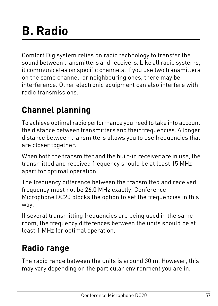## <span id="page-56-0"></span>**B. Radio**

Comfort Digisystem relies on radio technology to transfer the sound between transmitters and receivers. Like all radio systems, it communicates on specific channels. If you use two transmitters on the same channel, or neighbouring ones, there may be interference. Other electronic equipment can also interfere with radio transmissions.

### <span id="page-56-1"></span>**Channel planning**

To achieve optimal radio performance you need to take into account the distance between transmitters and their frequencies. A longer distance between transmitters allows you to use frequencies that are closer together.

When both the transmitter and the built-in receiver are in use, the transmitted and received frequency should be at least 15 MHz apart for optimal operation.

The frequency difference between the transmitted and received frequency must not be 26.0 MHz exactly. Conference Microphone DC20 blocks the option to set the frequencies in this way.

<span id="page-56-2"></span>If several transmitting frequencies are being used in the same room, the frequency differences between the units should be at least 1 MHz for optimal operation.

### **Radio range**

The radio range between the units is around 30 m. However, this may vary depending on the particular environment you are in.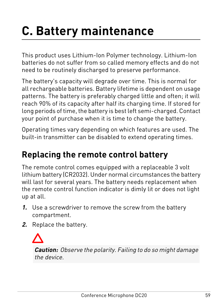## <span id="page-58-0"></span>**C. Battery maintenance**

This product uses Lithium-Ion Polymer technology. Lithium-Ion batteries do not suffer from so called memory effects and do not need to be routinely discharged to preserve performance.

The battery's capacity will degrade over time. This is normal for all rechargeable batteries. Battery lifetime is dependent on usage patterns. The battery is preferably charged little and often; it will reach 90% of its capacity after half its charging time. If stored for long periods of time, the battery is best left semi-charged. Contact your point of purchase when it is time to change the battery.

<span id="page-58-1"></span>Operating times vary depending on which features are used. The built-in transmitter can be disabled to extend operating times.

### **Replacing the remote control battery**

The remote control comes equipped with a replaceable 3 volt lithium battery (CR2032). Under normal circumstances the battery will last for several years. The battery needs replacement when the remote control function indicator is dimly lit or does not light up at all.

- **1.** Use a screwdriver to remove the screw from the battery compartment.
- **2.** Replace the battery.

**Caution:** Observe the polarity. Failing to do so might damage the device.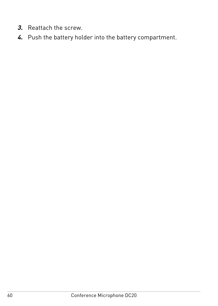- **3.** Reattach the screw.
- **4.** Push the battery holder into the battery compartment.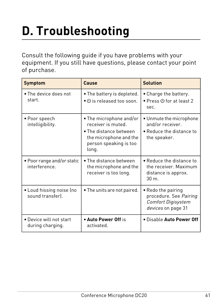## <span id="page-60-0"></span>**D. Troubleshooting**

Consult the following guide if you have problems with your equipment. If you still have questions, please contact your point of purchase.

| Symptom                                      | Cause                                                                                                                                | <b>Solution</b>                                                                          |
|----------------------------------------------|--------------------------------------------------------------------------------------------------------------------------------------|------------------------------------------------------------------------------------------|
| . The device does not<br>start.              | . The battery is depleted.<br>$\bullet$ $\bullet$ is released too soon.                                                              | • Charge the battery.<br>$\bullet$ Press $\oplus$ for at least 2<br>sec.                 |
| • Poor speech<br>intelligibility.            | • The microphone and/or<br>receiver is muted.<br>• The distance between<br>the microphone and the<br>person speaking is too<br>long. | • Unmute the microphone<br>and/or receiver.<br>. Reduce the distance to<br>the speaker.  |
| . Poor range and/or static<br>interference.  | . The distance between<br>the microphone and the<br>receiver is too long.                                                            | . Reduce the distance to<br>the receiver. Maximum<br>distance is approx.<br>$30m$ .      |
| • Loud hissing noise (no<br>sound transfer). | • The units are not paired.                                                                                                          | • Redo the pairing<br>procedure. See Pairing<br>Comfort Digisystem<br>devices on page 31 |
| . Device will not start<br>during charging.  | • Auto Power Off is<br>activated.                                                                                                    | . Disable Auto Power Off                                                                 |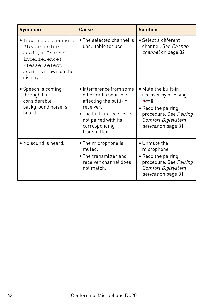| Symptom                                                                                                                           | Cause                                                                                                                                                                         | <b>Solution</b>                                                                                                                                      |
|-----------------------------------------------------------------------------------------------------------------------------------|-------------------------------------------------------------------------------------------------------------------------------------------------------------------------------|------------------------------------------------------------------------------------------------------------------------------------------------------|
| . Incorrect channel.<br>Please select<br>again, or Channel<br>interference!<br>Please select<br>again is shown on the<br>display. | $\bullet$ The selected channel is<br>unsuitable for use.                                                                                                                      | • Select a different<br>channel. See Change<br>channel on page 32                                                                                    |
| • Speech is coming<br>through but<br>considerable<br>background noise is<br>heard                                                 | · Interference from some<br>other radio source is<br>affecting the built-in<br>receiver.<br>• The built-in receiver is<br>not paired with its<br>corresponding<br>transmitter | • Mute the built-in<br>receiver by pressing<br>╰╌<br>• Redo the pairing<br>procedure. See Pairing<br><b>Comfort Digisystem</b><br>devices on page 31 |
| • No sound is heard.                                                                                                              | • The microphone is<br>muted<br>$\bullet$ The transmitter and<br>receiver channel does<br>not match.                                                                          | · Unmute the<br>microphone.<br>• Redo the pairing<br>procedure. See Pairing<br><b>Comfort Digisystem</b><br>devices on page 31                       |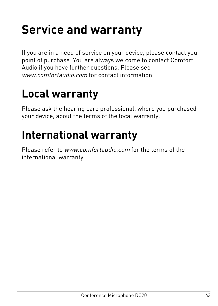## <span id="page-62-0"></span>**Service and warranty**

If you are in a need of service on your device, please contact your point of purchase. You are always welcome to contact Comfort Audio if you have further questions. Please see [www.comfortaudio.com](http://www.comfortaudio.com/) for contact information

### <span id="page-62-1"></span>**Local warranty**

<span id="page-62-2"></span>Please ask the hearing care professional, where you purchased your device, about the terms of the local warranty.

### **International warranty**

Please refer to [www.comfortaudio.com](http://www.comfortaudio.com/) for the terms of the international warranty.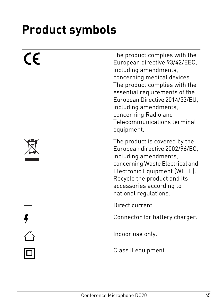## <span id="page-64-0"></span>**Product symbols**

| $\epsilon$ | The product complies with the<br>European directive 93/42/EEC,<br>including amendments,<br>concerning medical devices.<br>The product complies with the<br>essential requirements of the<br>European Directive 2014/53/EU,<br>including amendments,<br>concerning Radio and<br>Telecommunications terminal<br>equipment. |
|------------|--------------------------------------------------------------------------------------------------------------------------------------------------------------------------------------------------------------------------------------------------------------------------------------------------------------------------|
|            | The product is covered by the<br>European directive 2002/96/EC,<br>including amendments,<br>concerning Waste Electrical and<br>Electronic Equipment (WEEE).<br>Recycle the product and its<br>accessories according to<br>national regulations.                                                                          |
|            | Direct current.                                                                                                                                                                                                                                                                                                          |
|            | Connector for battery charger.                                                                                                                                                                                                                                                                                           |
|            | Indoor use only.                                                                                                                                                                                                                                                                                                         |
|            | Class II equipment.                                                                                                                                                                                                                                                                                                      |
|            |                                                                                                                                                                                                                                                                                                                          |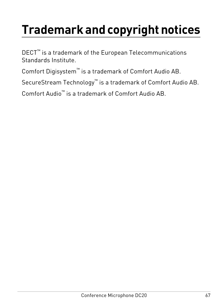## **Trademark and copyright notices**

DECT™ is a trademark of the European Telecommunications Standards Institute.

Comfort Digisystem™ is a trademark of Comfort Audio AB.

SecureStream Technology™ is a trademark of Comfort Audio AB.

Comfort Audio™ is a trademark of Comfort Audio AB.